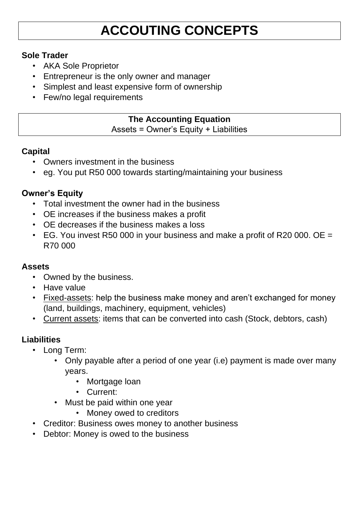# **ACCOUTING CONCEPTS**

### **Sole Trader**

- AKA Sole Proprietor
- Entrepreneur is the only owner and manager
- Simplest and least expensive form of ownership
- Few/no legal requirements

### **The Accounting Equation**

Assets = Owner's Equity + Liabilities

### **Capital**

- Owners investment in the business
- eg. You put R50 000 towards starting/maintaining your business

### **Owner's Equity**

- Total investment the owner had in the business
- OE increases if the business makes a profit
- OE decreases if the business makes a loss
- EG. You invest R50 000 in your business and make a profit of R20 000. OE = R70 000

### **Assets**

- Owned by the business.
- Have value
- Fixed-assets: help the business make money and aren't exchanged for money (land, buildings, machinery, equipment, vehicles)
- Current assets: items that can be converted into cash (Stock, debtors, cash)

### **Liabilities**

- Long Term:
	- Only payable after a period of one year (i.e) payment is made over many years.
		- Mortgage loan
		- Current:
	- Must be paid within one year
		- Money owed to creditors
- Creditor: Business owes money to another business
- Debtor: Money is owed to the business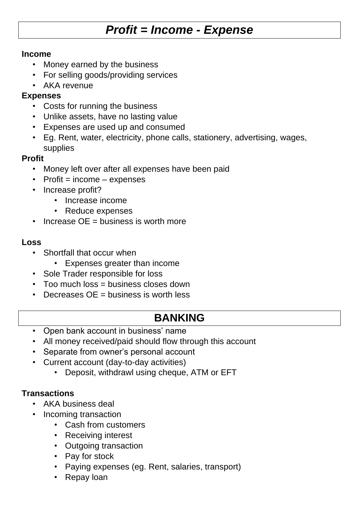## *Profit = Income - Expense*

#### **Income**

- Money earned by the business
- For selling goods/providing services
- AKA revenue

### **Expenses**

- Costs for running the business
- Unlike assets, have no lasting value
- Expenses are used up and consumed
- Eg. Rent, water, electricity, phone calls, stationery, advertising, wages, supplies

### **Profit**

- Money left over after all expenses have been paid
- $\cdot$  Profit = income expenses
- Increase profit?
	- Increase income
	- Reduce expenses
- Increase OE = business is worth more

### **Loss**

- Shortfall that occur when
	- Expenses greater than income
- Sole Trader responsible for loss
- Too much loss = business closes down
- Decreases OE = business is worth less

### **BANKING**

- Open bank account in business' name
- All money received/paid should flow through this account
- Separate from owner's personal account
- Current account (day-to-day activities)
	- Deposit, withdrawl using cheque, ATM or EFT

### **Transactions**

- AKA business deal
- Incoming transaction
	- Cash from customers
	- Receiving interest
	- Outgoing transaction
	- Pay for stock
	- Paying expenses (eg. Rent, salaries, transport)
	- Repay loan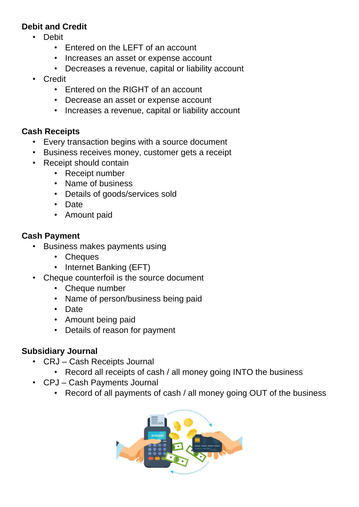### **Debit and Credit**

- Debit
	- Entered on the LEFT of an account
	- Increases an asset or expense account
	- Decreases a revenue, capital or liability account
- Credit
	- Entered on the RIGHT of an account
	- Decrease an asset or expense account
	- Increases a revenue, capital or liability account

### **Cash Receipts**

- Every transaction begins with a source document
- Business receives money, customer gets a receipt
- Receipt should contain
	- Receipt number
	- Name of business
	- Details of goods/services sold
	- Date
	- Amount paid

### **Cash Payment**

- Business makes payments using
	- Cheques
	- Internet Banking (EFT)
- Cheque counterfoil is the source document
	- Cheque number
	- Name of person/business being paid
	- Date
	- Amount being paid
	- Details of reason for payment

### **Subsidiary Journal**

- CRJ Cash Receipts Journal
	- Record all receipts of cash / all money going INTO the business
- CPJ Cash Payments Journal
	- Record of all payments of cash / all money going OUT of the business